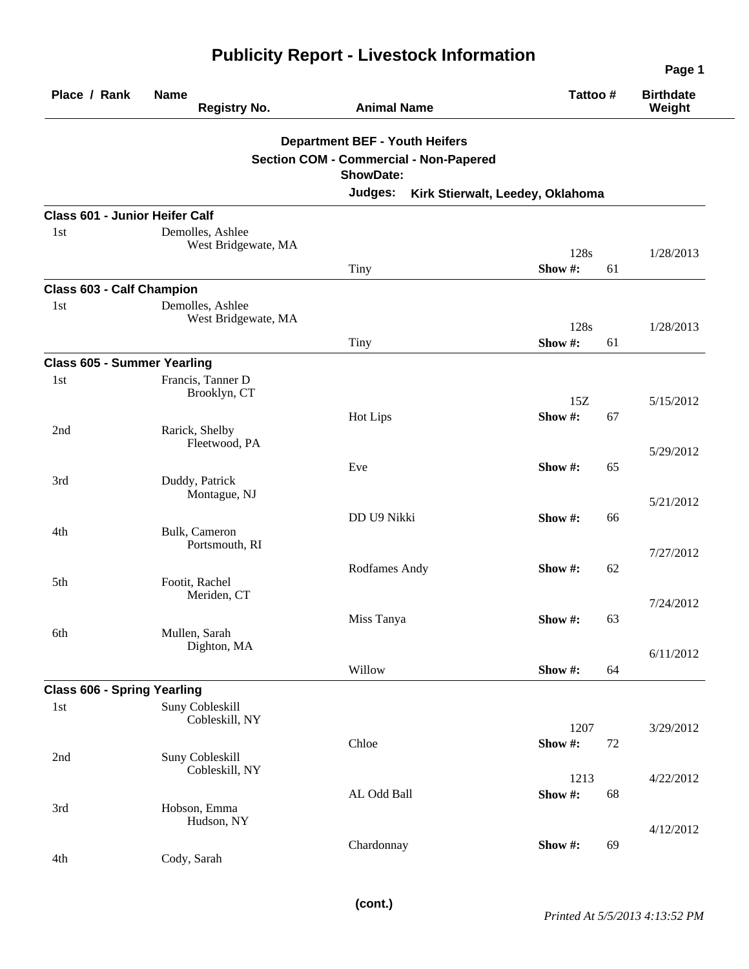| Place / Rank              | <b>Name</b><br><b>Registry No.</b>      | <b>Animal Name</b>                                                | Tattoo #             | <b>Birthdate</b><br>Weight |
|---------------------------|-----------------------------------------|-------------------------------------------------------------------|----------------------|----------------------------|
|                           |                                         | <b>Department BEF - Youth Heifers</b>                             |                      |                            |
|                           |                                         | <b>Section COM - Commercial - Non-Papered</b><br><b>ShowDate:</b> |                      |                            |
|                           |                                         | Judges:<br>Kirk Stierwalt, Leedey, Oklahoma                       |                      |                            |
|                           | <b>Class 601 - Junior Heifer Calf</b>   |                                                                   |                      |                            |
| 1 <sub>st</sub>           | Demolles, Ashlee<br>West Bridgewate, MA |                                                                   | 128s                 | 1/28/2013                  |
|                           |                                         | Tiny                                                              | Show#:<br>61         |                            |
| Class 603 - Calf Champion |                                         |                                                                   |                      |                            |
| 1st                       | Demolles, Ashlee<br>West Bridgewate, MA |                                                                   | 128s                 | 1/28/2013                  |
|                           |                                         | Tiny                                                              | Show#:<br>61         |                            |
|                           | <b>Class 605 - Summer Yearling</b>      |                                                                   |                      |                            |
| 1st                       | Francis, Tanner D<br>Brooklyn, CT       |                                                                   | 15Z                  | 5/15/2012                  |
| 2nd                       | Rarick, Shelby<br>Fleetwood, PA         | Hot Lips                                                          | Show#:<br>67         |                            |
|                           |                                         | Eve                                                               | 65<br>Show #:        | 5/29/2012                  |
| 3rd                       | Duddy, Patrick<br>Montague, NJ          |                                                                   |                      | 5/21/2012                  |
| 4th                       | Bulk, Cameron<br>Portsmouth, RI         | DD U9 Nikki                                                       | Show #:<br>66        | 7/27/2012                  |
| 5th                       | Footit, Rachel                          | Rodfames Andy                                                     | Show #:<br>62        |                            |
| 6th                       | Meriden, CT<br>Mullen, Sarah            | Miss Tanya                                                        | Show #:<br>63        | 7/24/2012                  |
|                           | Dighton, MA                             | Willow                                                            | Show #:<br>64        | 6/11/2012                  |
|                           | <b>Class 606 - Spring Yearling</b>      |                                                                   |                      |                            |
| 1st                       | Suny Cobleskill<br>Cobleskill, NY       |                                                                   | 1207                 | 3/29/2012                  |
| 2nd                       | Suny Cobleskill                         | Chloe                                                             | Show#:<br>72         |                            |
|                           | Cobleskill, NY                          | AL Odd Ball                                                       | 1213<br>Show#:<br>68 | 4/22/2012                  |
| 3rd                       | Hobson, Emma<br>Hudson, NY              |                                                                   |                      | 4/12/2012                  |
| 4th                       | Cody, Sarah                             | Chardonnay                                                        | Show #:<br>69        |                            |

## **Publicity Report - Livestock Information**

**Page 1**